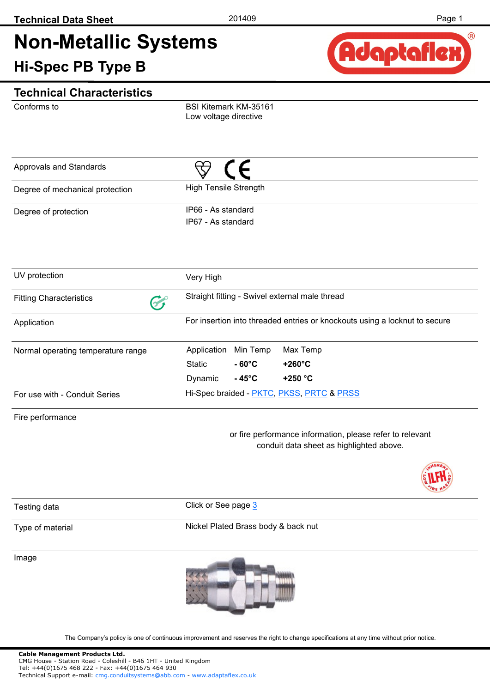# **Non-Metallic Systems Hi-Spec PB Type B**



#### **Technical Characteristics**

Conforms to

BSI Kitemark KM-35161 Low voltage directive

| Approvals and Standards         |                                          |
|---------------------------------|------------------------------------------|
| Degree of mechanical protection | <b>High Tensile Strength</b>             |
| Degree of protection            | IP66 - As standard<br>IP67 - As standard |

| UV protection                      | Very High                                                                  |                   |                  |  |  |  |  |  |
|------------------------------------|----------------------------------------------------------------------------|-------------------|------------------|--|--|--|--|--|
| <b>Fitting Characteristics</b>     | Straight fitting - Swivel external male thread                             |                   |                  |  |  |  |  |  |
| Application                        | For insertion into threaded entries or knockouts using a locknut to secure |                   |                  |  |  |  |  |  |
| Normal operating temperature range | Application                                                                | Min Temp          | Max Temp         |  |  |  |  |  |
|                                    | <b>Static</b>                                                              | $-60^{\circ}$ C   | $+260^{\circ}$ C |  |  |  |  |  |
|                                    | Dynamic                                                                    | - 45 $^{\circ}$ C | $+250 °C$        |  |  |  |  |  |
| For use with - Conduit Series      | Hi-Spec braided - PKTC, PKSS, PRTC & PRSS                                  |                   |                  |  |  |  |  |  |

#### Fire performance

or fire performance information, please refer to relevant conduit data sheet as highlighted above.



Testing data **Click** or See page [3](#page-2-0)

#### Type of material

Nickel Plated Brass body & back nut

Image



The Company's policy is one of continuous improvement and reserves the right to change specifications at any time without prior notice.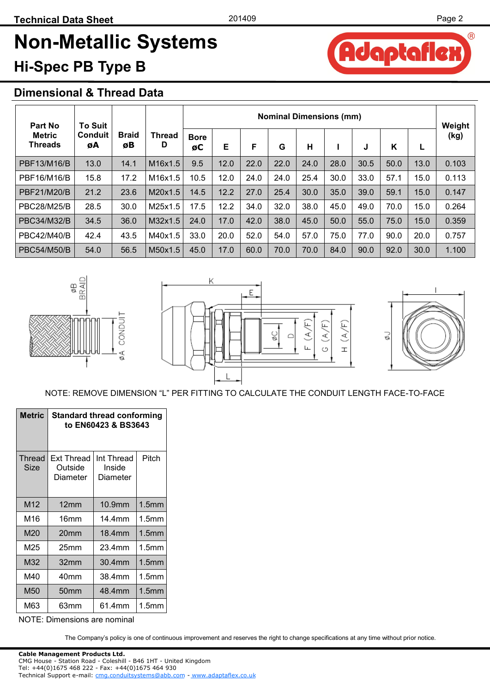daptafle

A

 $(R)$ 

# **Non-Metallic Systems Hi-Spec PB Type B**

#### **Dimensional & Thread Data**

| Part No                         | <b>To Suit</b>       |                    |             | <b>Nominal Dimensions (mm)</b> |      |      |      |      |      |      |      |      |                |  |
|---------------------------------|----------------------|--------------------|-------------|--------------------------------|------|------|------|------|------|------|------|------|----------------|--|
| <b>Metric</b><br><b>Threads</b> | <b>Conduit</b><br>øΑ | <b>Braid</b><br>øB | Thread<br>D | <b>Bore</b><br>øC              | Е    | F    | G    | н    |      | J    | K    | ь    | Weight<br>(kg) |  |
| PBF13/M16/B                     | 13.0                 | 14.1               | M16x1.5     | 9.5                            | 12.0 | 22.0 | 22.0 | 24.0 | 28.0 | 30.5 | 50.0 | 13.0 | 0.103          |  |
| PBF16/M16/B                     | 15.8                 | 17.2               | M16x1.5     | 10.5                           | 12.0 | 24.0 | 24.0 | 25.4 | 30.0 | 33.0 | 57.1 | 15.0 | 0.113          |  |
| PBF21/M20/B                     | 21.2                 | 23.6               | M20x1.5     | 14.5                           | 12.2 | 27.0 | 25.4 | 30.0 | 35.0 | 39.0 | 59.1 | 15.0 | 0.147          |  |
| <b>PBC28/M25/B</b>              | 28.5                 | 30.0               | M25x1.5     | 17.5                           | 12.2 | 34.0 | 32.0 | 38.0 | 45.0 | 49.0 | 70.0 | 15.0 | 0.264          |  |
| <b>PBC34/M32/B</b>              | 34.5                 | 36.0               | M32x1.5     | 24.0                           | 17.0 | 42.0 | 38.0 | 45.0 | 50.0 | 55.0 | 75.0 | 15.0 | 0.359          |  |
| <b>PBC42/M40/B</b>              | 42.4                 | 43.5               | M40x1.5     | 33.0                           | 20.0 | 52.0 | 54.0 | 57.0 | 75.0 | 77.0 | 90.0 | 20.0 | 0.757          |  |
| <b>PBC54/M50/B</b>              | 54.0                 | 56.5               | M50x1.5     | 45.0                           | 17.0 | 60.0 | 70.0 | 70.0 | 84.0 | 90.0 | 92.0 | 30.0 | 1.100          |  |







#### NOTE: REMOVE DIMENSION "L" PER FITTING TO CALCULATE THE CONDUIT LENGTH FACE-TO-FACE

| <b>Metric</b>  | <b>Standard thread conforming</b><br>to EN60423 & BS3643 |                                  |                   |  |  |  |  |  |  |  |
|----------------|----------------------------------------------------------|----------------------------------|-------------------|--|--|--|--|--|--|--|
| Thread<br>Size | Ext Thread<br>Outside<br>Diameter                        | Int Thread<br>Inside<br>Diameter | Pitch             |  |  |  |  |  |  |  |
| M12            | 12mm                                                     | 10.9mm                           | 1.5 <sub>mm</sub> |  |  |  |  |  |  |  |
| M16            | 16mm                                                     | 14.4mm                           | 1.5mm             |  |  |  |  |  |  |  |
| M20            | 20mm                                                     | 18.4mm                           | 1.5 <sub>mm</sub> |  |  |  |  |  |  |  |
| M25            | 25mm                                                     | 23.4mm                           | 1.5mm             |  |  |  |  |  |  |  |
| M32            | 32mm                                                     | 30.4mm                           | 1.5 <sub>mm</sub> |  |  |  |  |  |  |  |
| M40            | 40mm                                                     | 38.4mm                           | 1.5mm             |  |  |  |  |  |  |  |
| M50            | 50mm                                                     | 48.4mm                           | 1.5 <sub>mm</sub> |  |  |  |  |  |  |  |
| M63            | 63mm                                                     | 61.4mm                           | 1.5 <sub>mm</sub> |  |  |  |  |  |  |  |

NOTE: Dimensions are nominal

The Company's policy is one of continuous improvement and reserves the right to change specifications at any time without prior notice.